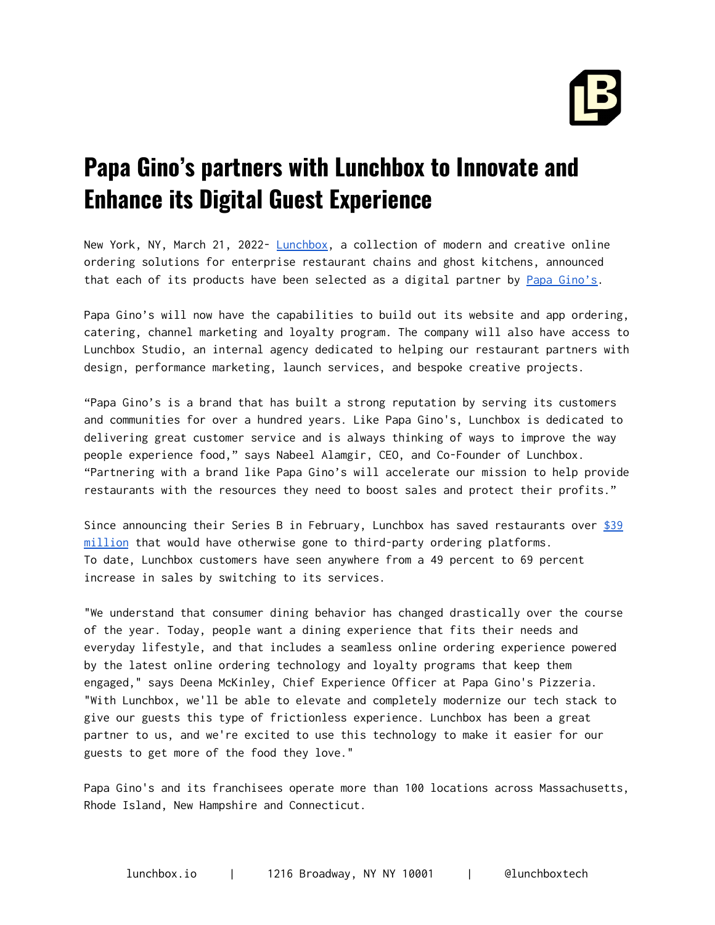

## **Papa Gino's partners with Lunchbox to Innovate and Enhance its Digital Guest Experience**

New York, NY, March 21, 2022- [Lunchbox,](https://lunchbox.io/) a collection of modern and creative online ordering solutions for enterprise restaurant chains and ghost kitchens, announced that each of its products have been selected as a digital partner by Papa [Gino's.](https://www.papaginos.com/)

Papa Gino's will now have the capabilities to build out its website and app ordering, catering, channel marketing and loyalty program. The company will also have access to Lunchbox Studio, an internal agency dedicated to helping our restaurant partners with design, performance marketing, launch services, and bespoke creative projects.

"Papa Gino's is a brand that has built a strong reputation by serving its customers and communities for over a hundred years. Like Papa Gino's, Lunchbox is dedicated to delivering great customer service and is always thinking of ways to improve the way people experience food," says Nabeel Alamgir, CEO, and Co-Founder of Lunchbox. "Partnering with a brand like Papa Gino's will accelerate our mission to help provide restaurants with the resources they need to boost sales and protect their profits."

Since announcing their Series B in February, Lunchbox has saved restaurants over  $$39$ [million](https://live.lunchbox.io/) that would have otherwise gone to third-party ordering platforms. To date, Lunchbox customers have seen anywhere from a 49 percent to 69 percent increase in sales by switching to its services.

"We understand that consumer dining behavior has changed drastically over the course of the year. Today, people want a dining experience that fits their needs and everyday lifestyle, and that includes a seamless online ordering experience powered by the latest online ordering technology and loyalty programs that keep them engaged," says Deena McKinley, Chief Experience Officer at Papa Gino's Pizzeria. "With Lunchbox, we'll be able to elevate and completely modernize our tech stack to give our guests this type of frictionless experience. Lunchbox has been a great partner to us, and we're excited to use this technology to make it easier for our guests to get more of the food they love."

Papa Gino's and its franchisees operate more than 100 locations across Massachusetts, Rhode Island, New Hampshire and Connecticut.